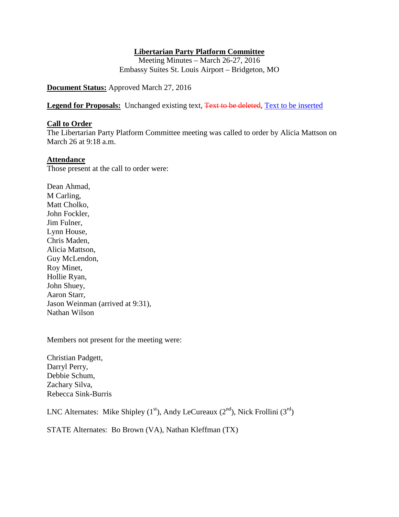### **Libertarian Party Platform Committee**

Meeting Minutes – March 26-27, 2016 Embassy Suites St. Louis Airport – Bridgeton, MO

## **Document Status:** Approved March 27, 2016

**Legend for Proposals:** Unchanged existing text, Text to be deleted, Text to be inserted

#### **Call to Order**

The Libertarian Party Platform Committee meeting was called to order by Alicia Mattson on March 26 at 9:18 a.m.

#### **Attendance**

Those present at the call to order were:

Dean Ahmad, M Carling, Matt Cholko, John Fockler, Jim Fulner, Lynn House, Chris Maden, Alicia Mattson, Guy McLendon, Roy Minet, Hollie Ryan, John Shuey, Aaron Starr, Jason Weinman (arrived at 9:31), Nathan Wilson

Members not present for the meeting were:

Christian Padgett, Darryl Perry, Debbie Schum, Zachary Silva, Rebecca Sink-Burris

LNC Alternates: Mike Shipley (1<sup>st</sup>), Andy LeCureaux (2<sup>nd</sup>), Nick Frollini (3<sup>rd</sup>)

STATE Alternates: Bo Brown (VA), Nathan Kleffman (TX)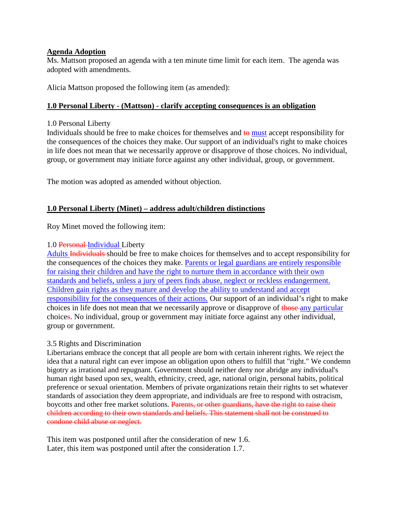#### **Agenda Adoption**

Ms. Mattson proposed an agenda with a ten minute time limit for each item. The agenda was adopted with amendments.

Alicia Mattson proposed the following item (as amended):

### **1.0 Personal Liberty - (Mattson) - clarify accepting consequences is an obligation**

#### 1.0 Personal Liberty

Individuals should be free to make choices for themselves and  $\frac{1}{2}$  must accept responsibility for the consequences of the choices they make. Our support of an individual's right to make choices in life does not mean that we necessarily approve or disapprove of those choices. No individual, group, or government may initiate force against any other individual, group, or government.

The motion was adopted as amended without objection.

### **1.0 Personal Liberty (Minet) – address adult/children distinctions**

Roy Minet moved the following item:

#### 1.0 Personal-Individual Liberty

Adults Individuals should be free to make choices for themselves and to accept responsibility for the consequences of the choices they make. Parents or legal guardians are entirely responsible for raising their children and have the right to nurture them in accordance with their own standards and beliefs, unless a jury of peers finds abuse, neglect or reckless endangerment. Children gain rights as they mature and develop the ability to understand and accept responsibility for the consequences of their actions. Our support of an individual's right to make choices in life does not mean that we necessarily approve or disapprove of those any particular choices. No individual, group or government may initiate force against any other individual, group or government.

#### 3.5 Rights and Discrimination

Libertarians embrace the concept that all people are born with certain inherent rights. We reject the idea that a natural right can ever impose an obligation upon others to fulfill that "right." We condemn bigotry as irrational and repugnant. Government should neither deny nor abridge any individual's human right based upon sex, wealth, ethnicity, creed, age, national origin, personal habits, political preference or sexual orientation. Members of private organizations retain their rights to set whatever standards of association they deem appropriate, and individuals are free to respond with ostracism, boycotts and other free market solutions. Parents, or other guardians, have the right to raise their children according to their own standards and beliefs. This statement shall not be construed to condone child abuse or neglect.

This item was postponed until after the consideration of new 1.6. Later, this item was postponed until after the consideration 1.7.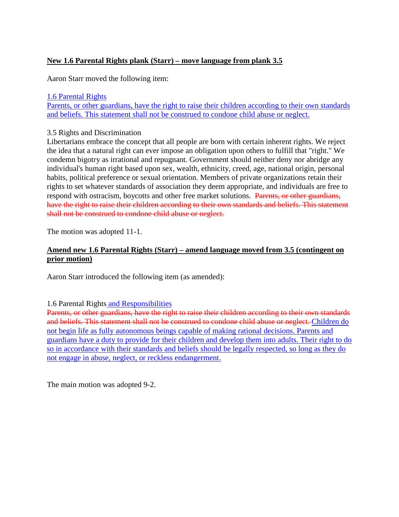# **New 1.6 Parental Rights plank (Starr) – move language from plank 3.5**

Aaron Starr moved the following item:

#### 1.6 Parental Rights

Parents, or other guardians, have the right to raise their children according to their own standards and beliefs. This statement shall not be construed to condone child abuse or neglect.

#### 3.5 Rights and Discrimination

Libertarians embrace the concept that all people are born with certain inherent rights. We reject the idea that a natural right can ever impose an obligation upon others to fulfill that "right." We condemn bigotry as irrational and repugnant. Government should neither deny nor abridge any individual's human right based upon sex, wealth, ethnicity, creed, age, national origin, personal habits, political preference or sexual orientation. Members of private organizations retain their rights to set whatever standards of association they deem appropriate, and individuals are free to respond with ostracism, boycotts and other free market solutions. Parents, or other guardians, have the right to raise their children according to their own standards and beliefs. This statement shall not be construed to condone child abuse or neglect.

The motion was adopted 11-1.

### **Amend new 1.6 Parental Rights (Starr) – amend language moved from 3.5 (contingent on prior motion)**

Aaron Starr introduced the following item (as amended):

1.6 Parental Rights and Responsibilities

Parents, or other guardians, have the right to raise their children according to their own standards and beliefs. This statement shall not be construed to condone child abuse or neglect. Children do not begin life as fully autonomous beings capable of making rational decisions. Parents and guardians have a duty to provide for their children and develop them into adults. Their right to do so in accordance with their standards and beliefs should be legally respected, so long as they do not engage in abuse, neglect, or reckless endangerment.

The main motion was adopted 9-2.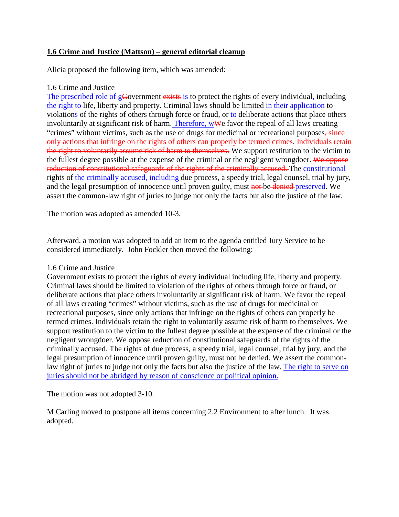## **1.6 Crime and Justice (Mattson) – general editorial cleanup**

Alicia proposed the following item, which was amended:

## 1.6 Crime and Justice

The prescribed role of gGovernment exists is to protect the rights of every individual, including the right to life, liberty and property. Criminal laws should be limited in their application to violations of the rights of others through force or fraud, or to deliberate actions that place others involuntarily at significant risk of harm. Therefore, wWe favor the repeal of all laws creating "crimes" without victims, such as the use of drugs for medicinal or recreational purposes, since only actions that infringe on the rights of others can properly be termed crimes. Individuals retain the right to voluntarily assume risk of harm to themselves. We support restitution to the victim to the fullest degree possible at the expense of the criminal or the negligent wrongdoer. We oppose reduction of constitutional safeguards of the rights of the criminally accused. The constitutional rights of the criminally accused, including due process, a speedy trial, legal counsel, trial by jury, and the legal presumption of innocence until proven guilty, must not be denied preserved. We assert the common-law right of juries to judge not only the facts but also the justice of the law.

The motion was adopted as amended 10-3.

Afterward, a motion was adopted to add an item to the agenda entitled Jury Service to be considered immediately. John Fockler then moved the following:

#### 1.6 Crime and Justice

Government exists to protect the rights of every individual including life, liberty and property. Criminal laws should be limited to violation of the rights of others through force or fraud, or deliberate actions that place others involuntarily at significant risk of harm. We favor the repeal of all laws creating "crimes" without victims, such as the use of drugs for medicinal or recreational purposes, since only actions that infringe on the rights of others can properly be termed crimes. Individuals retain the right to voluntarily assume risk of harm to themselves. We support restitution to the victim to the fullest degree possible at the expense of the criminal or the negligent wrongdoer. We oppose reduction of constitutional safeguards of the rights of the criminally accused. The rights of due process, a speedy trial, legal counsel, trial by jury, and the legal presumption of innocence until proven guilty, must not be denied. We assert the commonlaw right of juries to judge not only the facts but also the justice of the law. The right to serve on juries should not be abridged by reason of conscience or political opinion.

The motion was not adopted 3-10.

M Carling moved to postpone all items concerning 2.2 Environment to after lunch. It was adopted.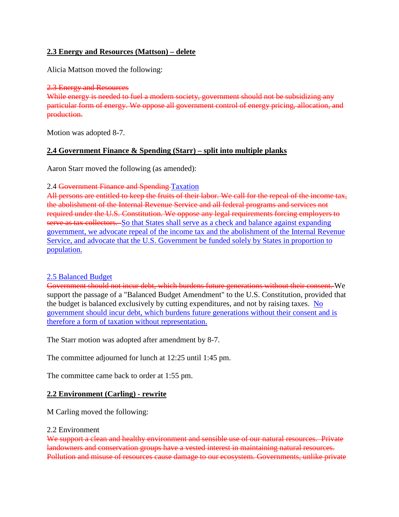## **2.3 Energy and Resources (Mattson) – delete**

Alicia Mattson moved the following:

2.3 Energy and Resources While energy is needed to fuel a modern society, government should not be subsidizing any particular form of energy. We oppose all government control of energy pricing, allocation, and production.

Motion was adopted 8-7.

## **2.4 Government Finance & Spending (Starr) – split into multiple planks**

Aaron Starr moved the following (as amended):

2.4 Government Finance and Spending Taxation

All persons are entitled to keep the fruits of their labor. We call for the repeal of the income tax, the abolishment of the Internal Revenue Service and all federal programs and services not required under the U.S. Constitution. We oppose any legal requirements forcing employers to serve as tax collectors. So that States shall serve as a check and balance against expanding government, we advocate repeal of the income tax and the abolishment of the Internal Revenue Service, and advocate that the U.S. Government be funded solely by States in proportion to population.

## 2.5 Balanced Budget

Government should not incur debt, which burdens future generations without their consent. We support the passage of a "Balanced Budget Amendment" to the U.S. Constitution, provided that the budget is balanced exclusively by cutting expenditures, and not by raising taxes. No government should incur debt, which burdens future generations without their consent and is therefore a form of taxation without representation.

The Starr motion was adopted after amendment by 8-7.

The committee adjourned for lunch at 12:25 until 1:45 pm.

The committee came back to order at 1:55 pm.

#### **2.2 Environment (Carling) - rewrite**

M Carling moved the following:

#### 2.2 Environment

We support a clean and healthy environment and sensible use of our natural resources. Private landowners and conservation groups have a vested interest in maintaining natural resources. Pollution and misuse of resources cause damage to our ecosystem. Governments, unlike private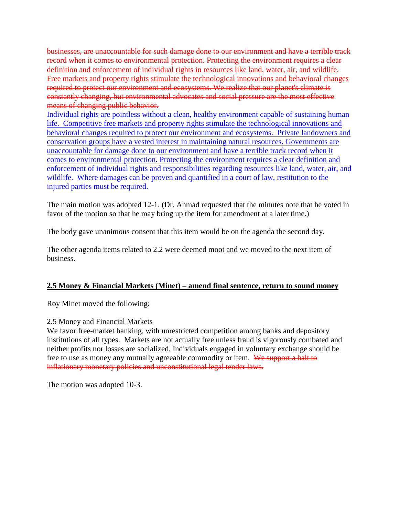businesses, are unaccountable for such damage done to our environment and have a terrible track record when it comes to environmental protection. Protecting the environment requires a clear definition and enforcement of individual rights in resources like land, water, air, and wildlife. Free markets and property rights stimulate the technological innovations and behavioral changes required to protect our environment and ecosystems. We realize that our planet's climate is constantly changing, but environmental advocates and social pressure are the most effective means of changing public behavior.

Individual rights are pointless without a clean, healthy environment capable of sustaining human life. Competitive free markets and property rights stimulate the technological innovations and behavioral changes required to protect our environment and ecosystems. Private landowners and conservation groups have a vested interest in maintaining natural resources. Governments are unaccountable for damage done to our environment and have a terrible track record when it comes to environmental protection. Protecting the environment requires a clear definition and enforcement of individual rights and responsibilities regarding resources like land, water, air, and wildlife. Where damages can be proven and quantified in a court of law, restitution to the injured parties must be required.

The main motion was adopted 12-1. (Dr. Ahmad requested that the minutes note that he voted in favor of the motion so that he may bring up the item for amendment at a later time.)

The body gave unanimous consent that this item would be on the agenda the second day.

The other agenda items related to 2.2 were deemed moot and we moved to the next item of business.

## **2.5 Money & Financial Markets (Minet) – amend final sentence, return to sound money**

Roy Minet moved the following:

2.5 Money and Financial Markets

We favor free-market banking, with unrestricted competition among banks and depository institutions of all types. Markets are not actually free unless fraud is vigorously combated and neither profits nor losses are socialized. Individuals engaged in voluntary exchange should be free to use as money any mutually agreeable commodity or item. We support a halt to inflationary monetary policies and unconstitutional legal tender laws.

The motion was adopted 10-3.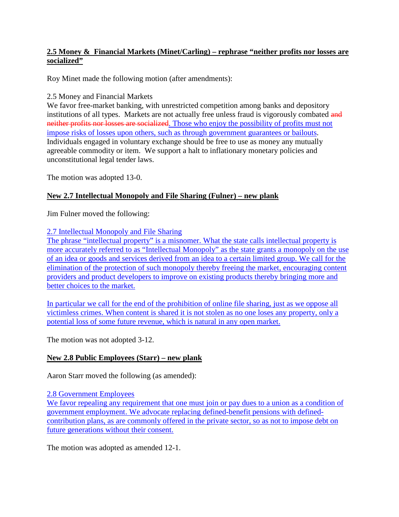## **2.5 Money & Financial Markets (Minet/Carling) – rephrase "neither profits nor losses are socialized"**

Roy Minet made the following motion (after amendments):

## 2.5 Money and Financial Markets

We favor free-market banking, with unrestricted competition among banks and depository institutions of all types. Markets are not actually free unless fraud is vigorously combated and neither profits nor losses are socialized. Those who enjoy the possibility of profits must not impose risks of losses upon others, such as through government guarantees or bailouts. Individuals engaged in voluntary exchange should be free to use as money any mutually agreeable commodity or item. We support a halt to inflationary monetary policies and unconstitutional legal tender laws.

The motion was adopted 13-0.

# **New 2.7 Intellectual Monopoly and File Sharing (Fulner) – new plank**

Jim Fulner moved the following:

# 2.7 Intellectual Monopoly and File Sharing

The phrase "intellectual property" is a misnomer. What the state calls intellectual property is more accurately referred to as "Intellectual Monopoly" as the state grants a monopoly on the use of an idea or goods and services derived from an idea to a certain limited group. We call for the elimination of the protection of such monopoly thereby freeing the market, encouraging content providers and product developers to improve on existing products thereby bringing more and better choices to the market.

In particular we call for the end of the prohibition of online file sharing, just as we oppose all victimless crimes. When content is shared it is not stolen as no one loses any property, only a potential loss of some future revenue, which is natural in any open market.

The motion was not adopted 3-12.

# **New 2.8 Public Employees (Starr) – new plank**

Aaron Starr moved the following (as amended):

2.8 Government Employees

We favor repealing any requirement that one must join or pay dues to a union as a condition of government employment. We advocate replacing defined-benefit pensions with definedcontribution plans, as are commonly offered in the private sector, so as not to impose debt on future generations without their consent.

The motion was adopted as amended 12-1.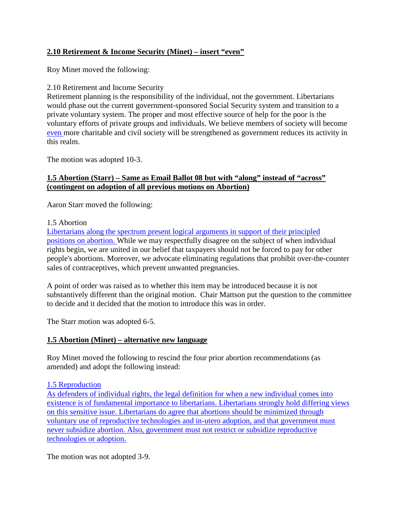# **2.10 Retirement & Income Security (Minet) – insert "even"**

Roy Minet moved the following:

## 2.10 Retirement and Income Security

Retirement planning is the responsibility of the individual, not the government. Libertarians would phase out the current government-sponsored Social Security system and transition to a private voluntary system. The proper and most effective source of help for the poor is the voluntary efforts of private groups and individuals. We believe members of society will become even more charitable and civil society will be strengthened as government reduces its activity in this realm.

The motion was adopted 10-3.

# **1.5 Abortion (Starr) – Same as Email Ballot 08 but with "along" instead of "across" (contingent on adoption of all previous motions on Abortion)**

Aaron Starr moved the following:

## 1.5 Abortion

Libertarians along the spectrum present logical arguments in support of their principled positions on abortion. While we may respectfully disagree on the subject of when individual rights begin, we are united in our belief that taxpayers should not be forced to pay for other people's abortions. Moreover, we advocate eliminating regulations that prohibit over-the-counter sales of contraceptives, which prevent unwanted pregnancies.

A point of order was raised as to whether this item may be introduced because it is not substantively different than the original motion. Chair Mattson put the question to the committee to decide and it decided that the motion to introduce this was in order.

The Starr motion was adopted 6-5.

## **1.5 Abortion (Minet) – alternative new language**

Roy Minet moved the following to rescind the four prior abortion recommendations (as amended) and adopt the following instead:

## 1.5 Reproduction

As defenders of individual rights, the legal definition for when a new individual comes into existence is of fundamental importance to libertarians. Libertarians strongly hold differing views on this sensitive issue. Libertarians do agree that abortions should be minimized through voluntary use of reproductive technologies and in-utero adoption, and that government must never subsidize abortion. Also, government must not restrict or subsidize reproductive technologies or adoption.

The motion was not adopted 3-9.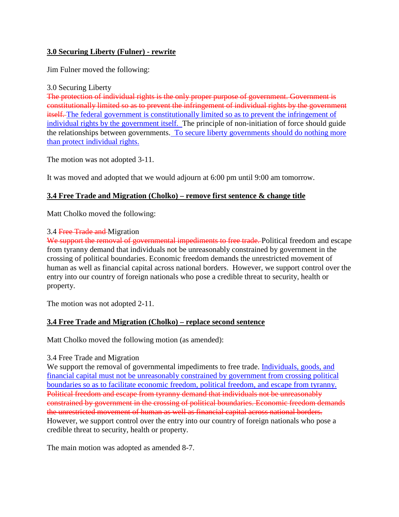# **3.0 Securing Liberty (Fulner) - rewrite**

Jim Fulner moved the following:

### 3.0 Securing Liberty

The protection of individual rights is the only proper purpose of government. Government is constitutionally limited so as to prevent the infringement of individual rights by the government itself. The federal government is constitutionally limited so as to prevent the infringement of individual rights by the government itself. The principle of non-initiation of force should guide the relationships between governments. To secure liberty governments should do nothing more than protect individual rights.

The motion was not adopted 3-11.

It was moved and adopted that we would adjourn at 6:00 pm until 9:00 am tomorrow.

# **3.4 Free Trade and Migration (Cholko) – remove first sentence & change title**

Matt Cholko moved the following:

## 3.4 Free Trade and Migration

We support the removal of governmental impediments to free trade. Political freedom and escape from tyranny demand that individuals not be unreasonably constrained by government in the crossing of political boundaries. Economic freedom demands the unrestricted movement of human as well as financial capital across national borders. However, we support control over the entry into our country of foreign nationals who pose a credible threat to security, health or property.

The motion was not adopted 2-11.

## **3.4 Free Trade and Migration (Cholko) – replace second sentence**

Matt Cholko moved the following motion (as amended):

## 3.4 Free Trade and Migration

We support the removal of governmental impediments to free trade. Individuals, goods, and financial capital must not be unreasonably constrained by government from crossing political boundaries so as to facilitate economic freedom, political freedom, and escape from tyranny. Political freedom and escape from tyranny demand that individuals not be unreasonably constrained by government in the crossing of political boundaries. Economic freedom demands the unrestricted movement of human as well as financial capital across national borders. However, we support control over the entry into our country of foreign nationals who pose a credible threat to security, health or property.

The main motion was adopted as amended 8-7.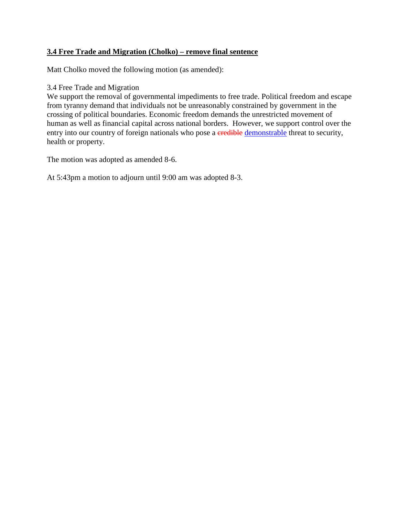# **3.4 Free Trade and Migration (Cholko) – remove final sentence**

Matt Cholko moved the following motion (as amended):

### 3.4 Free Trade and Migration

We support the removal of governmental impediments to free trade. Political freedom and escape from tyranny demand that individuals not be unreasonably constrained by government in the crossing of political boundaries. Economic freedom demands the unrestricted movement of human as well as financial capital across national borders. However, we support control over the entry into our country of foreign nationals who pose a credible demonstrable threat to security, health or property.

The motion was adopted as amended 8-6.

At 5:43pm a motion to adjourn until 9:00 am was adopted 8-3.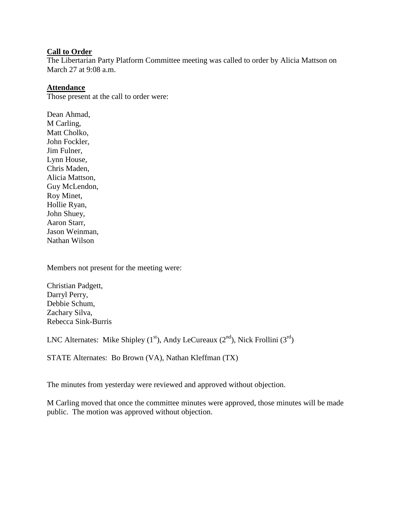### **Call to Order**

The Libertarian Party Platform Committee meeting was called to order by Alicia Mattson on March 27 at 9:08 a.m.

#### **Attendance**

Those present at the call to order were:

Dean Ahmad, M Carling, Matt Cholko, John Fockler, Jim Fulner, Lynn House, Chris Maden, Alicia Mattson, Guy McLendon, Roy Minet, Hollie Ryan, John Shuey, Aaron Starr, Jason Weinman, Nathan Wilson

Members not present for the meeting were:

Christian Padgett, Darryl Perry, Debbie Schum, Zachary Silva, Rebecca Sink-Burris

LNC Alternates: Mike Shipley (1<sup>st</sup>), Andy LeCureaux (2<sup>nd</sup>), Nick Frollini (3<sup>rd</sup>)

STATE Alternates: Bo Brown (VA), Nathan Kleffman (TX)

The minutes from yesterday were reviewed and approved without objection.

M Carling moved that once the committee minutes were approved, those minutes will be made public. The motion was approved without objection.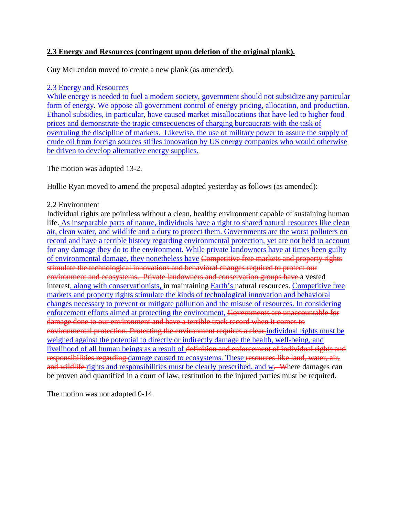# **2.3 Energy and Resources (contingent upon deletion of the original plank).**

Guy McLendon moved to create a new plank (as amended).

### 2.3 Energy and Resources

While energy is needed to fuel a modern society, government should not subsidize any particular form of energy. We oppose all government control of energy pricing, allocation, and production. Ethanol subsidies, in particular, have caused market misallocations that have led to higher food prices and demonstrate the tragic consequences of charging bureaucrats with the task of overruling the discipline of markets. Likewise, the use of military power to assure the supply of crude oil from foreign sources stifles innovation by US energy companies who would otherwise be driven to develop alternative energy supplies.

The motion was adopted 13-2.

Hollie Ryan moved to amend the proposal adopted yesterday as follows (as amended):

## 2.2 Environment

Individual rights are pointless without a clean, healthy environment capable of sustaining human life. As inseparable parts of nature, individuals have a right to shared natural resources like clean air, clean water, and wildlife and a duty to protect them. Governments are the worst polluters on record and have a terrible history regarding environmental protection, yet are not held to account for any damage they do to the environment. While private landowners have at times been guilty of environmental damage, they nonetheless have Competitive free markets and property rights stimulate the technological innovations and behavioral changes required to protect our environment and ecosystems. Private landowners and conservation groups have a vested interest, along with conservationists, in maintaining Earth's natural resources. Competitive free markets and property rights stimulate the kinds of technological innovation and behavioral changes necessary to prevent or mitigate pollution and the misuse of resources. In considering enforcement efforts aimed at protecting the environment, Governments are unaccountable for damage done to our environment and have a terrible track record when it comes to environmental protection. Protecting the environment requires a clear individual rights must be weighed against the potential to directly or indirectly damage the health, well-being, and livelihood of all human beings as a result of definition and enforcement of individual rights and responsibilities regarding damage caused to ecosystems. These resources like land, water, air, and wildlife rights and responsibilities must be clearly prescribed, and w. Where damages can be proven and quantified in a court of law, restitution to the injured parties must be required.

The motion was not adopted 0-14.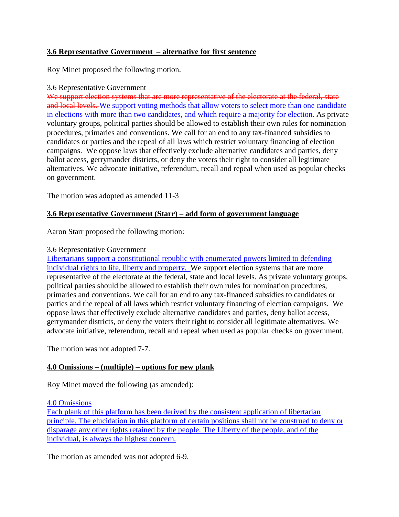# **3.6 Representative Government – alternative for first sentence**

Roy Minet proposed the following motion.

### 3.6 Representative Government

We support election systems that are more representative of the electorate at the federal, state and local levels. We support voting methods that allow voters to select more than one candidate in elections with more than two candidates, and which require a majority for election. As private voluntary groups, political parties should be allowed to establish their own rules for nomination procedures, primaries and conventions. We call for an end to any tax-financed subsidies to candidates or parties and the repeal of all laws which restrict voluntary financing of election campaigns. We oppose laws that effectively exclude alternative candidates and parties, deny ballot access, gerrymander districts, or deny the voters their right to consider all legitimate alternatives. We advocate initiative, referendum, recall and repeal when used as popular checks on government.

The motion was adopted as amended 11-3

## **3.6 Representative Government (Starr) – add form of government language**

Aaron Starr proposed the following motion:

#### 3.6 Representative Government

Libertarians support a constitutional republic with enumerated powers limited to defending individual rights to life, liberty and property. We support election systems that are more representative of the electorate at the federal, state and local levels. As private voluntary groups, political parties should be allowed to establish their own rules for nomination procedures, primaries and conventions. We call for an end to any tax-financed subsidies to candidates or parties and the repeal of all laws which restrict voluntary financing of election campaigns. We oppose laws that effectively exclude alternative candidates and parties, deny ballot access, gerrymander districts, or deny the voters their right to consider all legitimate alternatives. We advocate initiative, referendum, recall and repeal when used as popular checks on government.

The motion was not adopted 7-7.

#### **4.0 Omissions – (multiple) – options for new plank**

Roy Minet moved the following (as amended):

#### 4.0 Omissions

Each plank of this platform has been derived by the consistent application of libertarian principle. The elucidation in this platform of certain positions shall not be construed to deny or disparage any other rights retained by the people. The Liberty of the people, and of the individual, is always the highest concern.

The motion as amended was not adopted 6-9.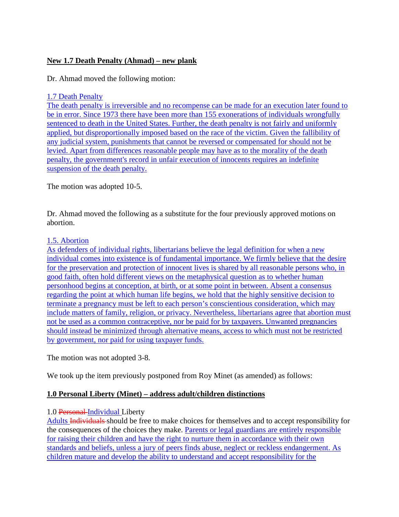# **New 1.7 Death Penalty (Ahmad) – new plank**

Dr. Ahmad moved the following motion:

### 1.7 Death Penalty

The death penalty is irreversible and no recompense can be made for an execution later found to be in error. Since 1973 there have been more than 155 exonerations of individuals wrongfully sentenced to death in the United States. Further, the death penalty is not fairly and uniformly applied, but disproportionally imposed based on the race of the victim. Given the fallibility of any judicial system, punishments that cannot be reversed or compensated for should not be levied. Apart from differences reasonable people may have as to the morality of the death penalty, the government's record in unfair execution of innocents requires an indefinite suspension of the death penalty.

The motion was adopted 10-5.

Dr. Ahmad moved the following as a substitute for the four previously approved motions on abortion.

### 1.5. Abortion

As defenders of individual rights, libertarians believe the legal definition for when a new individual comes into existence is of fundamental importance. We firmly believe that the desire for the preservation and protection of innocent lives is shared by all reasonable persons who, in good faith, often hold different views on the metaphysical question as to whether human personhood begins at conception, at birth, or at some point in between. Absent a consensus regarding the point at which human life begins, we hold that the highly sensitive decision to terminate a pregnancy must be left to each person's conscientious consideration, which may include matters of family, religion, or privacy. Nevertheless, libertarians agree that abortion must not be used as a common contraceptive, nor be paid for by taxpayers. Unwanted pregnancies should instead be minimized through alternative means, access to which must not be restricted by government, nor paid for using taxpayer funds.

The motion was not adopted 3-8.

We took up the item previously postponed from Roy Minet (as amended) as follows:

## **1.0 Personal Liberty (Minet) – address adult/children distinctions**

## 1.0 Personal-Individual Liberty

Adults Individuals should be free to make choices for themselves and to accept responsibility for the consequences of the choices they make. Parents or legal guardians are entirely responsible for raising their children and have the right to nurture them in accordance with their own standards and beliefs, unless a jury of peers finds abuse, neglect or reckless endangerment. As children mature and develop the ability to understand and accept responsibility for the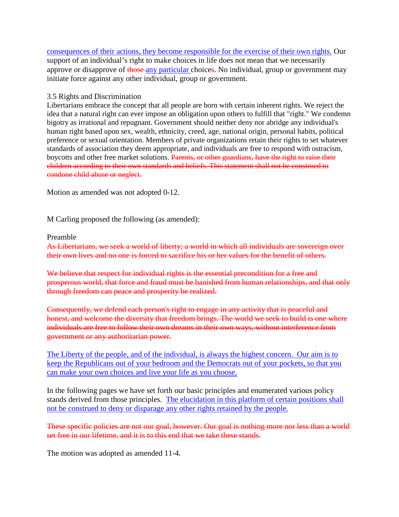consequences of their actions, they become responsible for the exercise of their own rights. Our support of an individual's right to make choices in life does not mean that we necessarily approve or disapprove of those any particular choices. No individual, group or government may initiate force against any other individual, group or government.

#### 3.5 Rights and Discrimination

Libertarians embrace the concept that all people are born with certain inherent rights. We reject the idea that a natural right can ever impose an obligation upon others to fulfill that "right." We condemn bigotry as irrational and repugnant. Government should neither deny nor abridge any individual's human right based upon sex, wealth, ethnicity, creed, age, national origin, personal habits, political preference or sexual orientation. Members of private organizations retain their rights to set whatever standards of association they deem appropriate, and individuals are free to respond with ostracism, boycotts and other free market solutions. Parents, or other guardians, have the right to raise their children according to their own standards and beliefs. This statement shall not be construed to condone child abuse or neglect.

Motion as amended was not adopted 0-12.

M Carling proposed the following (as amended):

#### Preamble

As Libertarians, we seek a world of liberty; a world in which all individuals are sovereign over their own lives and no one is forced to sacrifice his or her values for the benefit of others.

We believe that respect for individual rights is the essential precondition for a free and prosperous world, that force and fraud must be banished from human relationships, and that only through freedom can peace and prosperity be realized.

Consequently, we defend each person's right to engage in any activity that is peaceful and honest, and welcome the diversity that freedom brings. The world we seek to build is one where individuals are free to follow their own dreams in their own ways, without interference from government or any authoritarian power.

The Liberty of the people, and of the individual, is always the highest concern. Our aim is to keep the Republicans out of your bedroom and the Democrats out of your pockets, so that you can make your own choices and live your life as you choose.

In the following pages we have set forth our basic principles and enumerated various policy stands derived from those principles. The elucidation in this platform of certain positions shall not be construed to deny or disparage any other rights retained by the people.

These specific policies are not our goal, however. Our goal is nothing more nor less than a world set free in our lifetime, and it is to this end that we take these stands.

The motion was adopted as amended 11-4.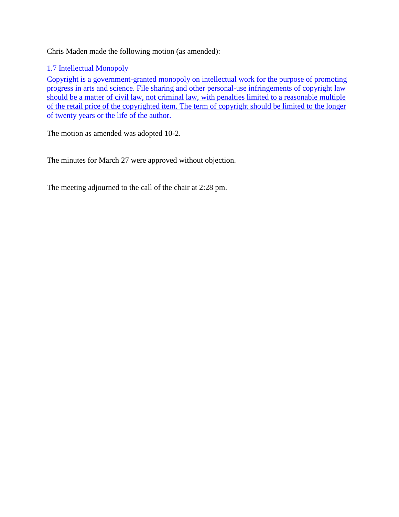Chris Maden made the following motion (as amended):

1.7 Intellectual Monopoly

Copyright is a government-granted monopoly on intellectual work for the purpose of promoting progress in arts and science. File sharing and other personal-use infringements of copyright law should be a matter of civil law, not criminal law, with penalties limited to a reasonable multiple of the retail price of the copyrighted item. The term of copyright should be limited to the longer of twenty years or the life of the author.

The motion as amended was adopted 10-2.

The minutes for March 27 were approved without objection.

The meeting adjourned to the call of the chair at 2:28 pm.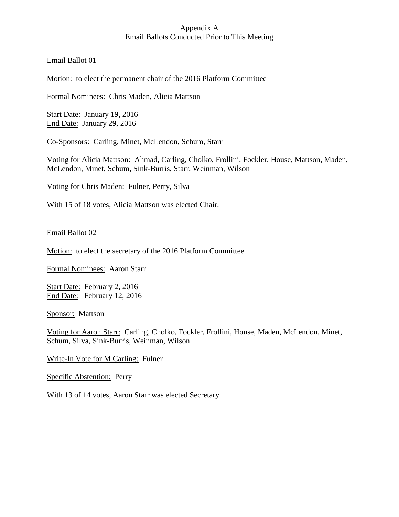Email Ballot 01

Motion: to elect the permanent chair of the 2016 Platform Committee

Formal Nominees: Chris Maden, Alicia Mattson

Start Date: January 19, 2016 End Date: January 29, 2016

Co-Sponsors: Carling, Minet, McLendon, Schum, Starr

Voting for Alicia Mattson: Ahmad, Carling, Cholko, Frollini, Fockler, House, Mattson, Maden, McLendon, Minet, Schum, Sink-Burris, Starr, Weinman, Wilson

Voting for Chris Maden: Fulner, Perry, Silva

With 15 of 18 votes, Alicia Mattson was elected Chair.

Email Ballot 02

Motion: to elect the secretary of the 2016 Platform Committee

Formal Nominees: Aaron Starr

Start Date: February 2, 2016 End Date: February 12, 2016

Sponsor: Mattson

Voting for Aaron Starr: Carling, Cholko, Fockler, Frollini, House, Maden, McLendon, Minet, Schum, Silva, Sink-Burris, Weinman, Wilson

Write-In Vote for M Carling: Fulner

Specific Abstention: Perry

With 13 of 14 votes, Aaron Starr was elected Secretary.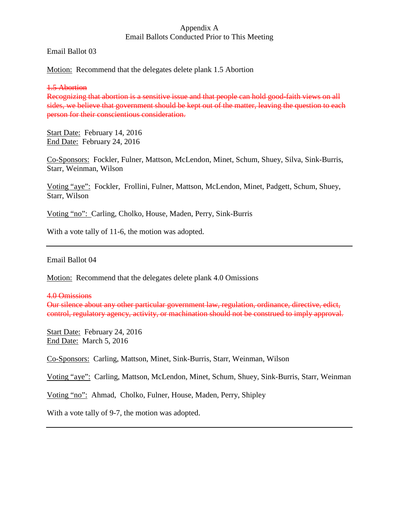Email Ballot 03

Motion: Recommend that the delegates delete plank 1.5 Abortion

1.5 Abortion

Recognizing that abortion is a sensitive issue and that people can hold good-faith views on all sides, we believe that government should be kept out of the matter, leaving the question to each person for their conscientious consideration.

Start Date: February 14, 2016 End Date: February 24, 2016

Co-Sponsors: Fockler, Fulner, Mattson, McLendon, Minet, Schum, Shuey, Silva, Sink-Burris, Starr, Weinman, Wilson

Voting "aye": Fockler, Frollini, Fulner, Mattson, McLendon, Minet, Padgett, Schum, Shuey, Starr, Wilson

Voting "no": Carling, Cholko, House, Maden, Perry, Sink-Burris

With a vote tally of 11-6, the motion was adopted.

Email Ballot 04

Motion: Recommend that the delegates delete plank 4.0 Omissions

4.0 Omissions

Our silence about any other particular government law, regulation, ordinance, directive, edict, control, regulatory agency, activity, or machination should not be construed to imply approval.

Start Date: February 24, 2016 End Date: March 5, 2016

Co-Sponsors: Carling, Mattson, Minet, Sink-Burris, Starr, Weinman, Wilson

Voting "aye": Carling, Mattson, McLendon, Minet, Schum, Shuey, Sink-Burris, Starr, Weinman

Voting "no": Ahmad, Cholko, Fulner, House, Maden, Perry, Shipley

With a vote tally of 9-7, the motion was adopted.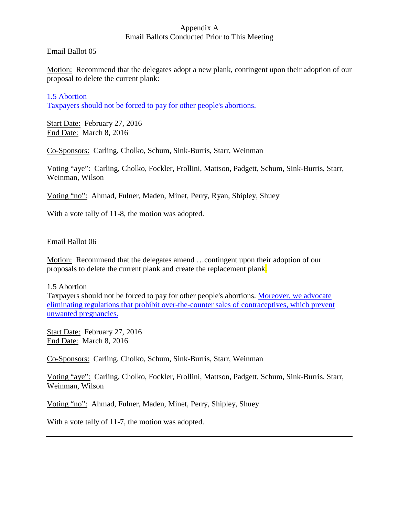### Email Ballot 05

Motion: Recommend that the delegates adopt a new plank, contingent upon their adoption of our proposal to delete the current plank:

1.5 Abortion Taxpayers should not be forced to pay for other people's abortions.

Start Date: February 27, 2016 End Date: March 8, 2016

Co-Sponsors: Carling, Cholko, Schum, Sink-Burris, Starr, Weinman

Voting "aye": Carling, Cholko, Fockler, Frollini, Mattson, Padgett, Schum, Sink-Burris, Starr, Weinman, Wilson

Voting "no": Ahmad, Fulner, Maden, Minet, Perry, Ryan, Shipley, Shuey

With a vote tally of 11-8, the motion was adopted.

## Email Ballot 06

Motion: Recommend that the delegates amend …contingent upon their adoption of our proposals to delete the current plank and create the replacement plank.

#### 1.5 Abortion

Taxpayers should not be forced to pay for other people's abortions. Moreover, we advocate eliminating regulations that prohibit over-the-counter sales of contraceptives, which prevent unwanted pregnancies.

Start Date: February 27, 2016 End Date: March 8, 2016

Co-Sponsors: Carling, Cholko, Schum, Sink-Burris, Starr, Weinman

Voting "aye": Carling, Cholko, Fockler, Frollini, Mattson, Padgett, Schum, Sink-Burris, Starr, Weinman, Wilson

Voting "no": Ahmad, Fulner, Maden, Minet, Perry, Shipley, Shuey

With a vote tally of 11-7, the motion was adopted.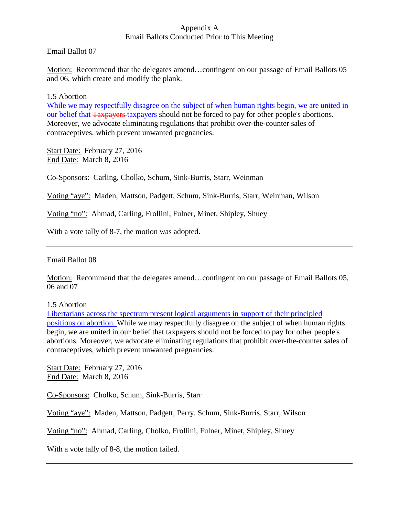# Appendix A

### Email Ballots Conducted Prior to This Meeting

Email Ballot 07

Motion: Recommend that the delegates amend...contingent on our passage of Email Ballots 05 and 06, which create and modify the plank.

1.5 Abortion

While we may respectfully disagree on the subject of when human rights begin, we are united in our belief that Taxpayers taxpayers should not be forced to pay for other people's abortions. Moreover, we advocate eliminating regulations that prohibit over-the-counter sales of contraceptives, which prevent unwanted pregnancies.

Start Date: February 27, 2016 End Date: March 8, 2016

Co-Sponsors: Carling, Cholko, Schum, Sink-Burris, Starr, Weinman

Voting "aye": Maden, Mattson, Padgett, Schum, Sink-Burris, Starr, Weinman, Wilson

Voting "no": Ahmad, Carling, Frollini, Fulner, Minet, Shipley, Shuey

With a vote tally of 8-7, the motion was adopted.

Email Ballot 08

Motion: Recommend that the delegates amend…contingent on our passage of Email Ballots 05, 06 and 07

1.5 Abortion

Libertarians across the spectrum present logical arguments in support of their principled positions on abortion. While we may respectfully disagree on the subject of when human rights begin, we are united in our belief that taxpayers should not be forced to pay for other people's abortions. Moreover, we advocate eliminating regulations that prohibit over-the-counter sales of contraceptives, which prevent unwanted pregnancies.

Start Date: February 27, 2016 End Date: March 8, 2016

Co-Sponsors: Cholko, Schum, Sink-Burris, Starr

Voting "aye": Maden, Mattson, Padgett, Perry, Schum, Sink-Burris, Starr, Wilson

Voting "no": Ahmad, Carling, Cholko, Frollini, Fulner, Minet, Shipley, Shuey

With a vote tally of 8-8, the motion failed.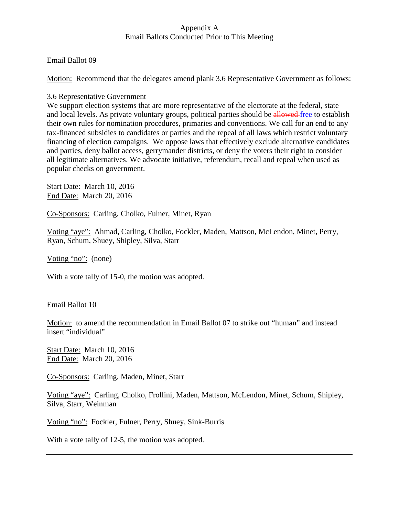### Email Ballot 09

Motion: Recommend that the delegates amend plank 3.6 Representative Government as follows:

### 3.6 Representative Government

We support election systems that are more representative of the electorate at the federal, state and local levels. As private voluntary groups, political parties should be allowed free to establish their own rules for nomination procedures, primaries and conventions. We call for an end to any tax-financed subsidies to candidates or parties and the repeal of all laws which restrict voluntary financing of election campaigns. We oppose laws that effectively exclude alternative candidates and parties, deny ballot access, gerrymander districts, or deny the voters their right to consider all legitimate alternatives. We advocate initiative, referendum, recall and repeal when used as popular checks on government.

Start Date: March 10, 2016 End Date: March 20, 2016

Co-Sponsors: Carling, Cholko, Fulner, Minet, Ryan

Voting "aye": Ahmad, Carling, Cholko, Fockler, Maden, Mattson, McLendon, Minet, Perry, Ryan, Schum, Shuey, Shipley, Silva, Starr

Voting "no": (none)

With a vote tally of 15-0, the motion was adopted.

Email Ballot 10

Motion: to amend the recommendation in Email Ballot 07 to strike out "human" and instead insert "individual"

Start Date: March 10, 2016 End Date: March 20, 2016

Co-Sponsors: Carling, Maden, Minet, Starr

Voting "aye": Carling, Cholko, Frollini, Maden, Mattson, McLendon, Minet, Schum, Shipley, Silva, Starr, Weinman

Voting "no": Fockler, Fulner, Perry, Shuey, Sink-Burris

With a vote tally of 12-5, the motion was adopted.